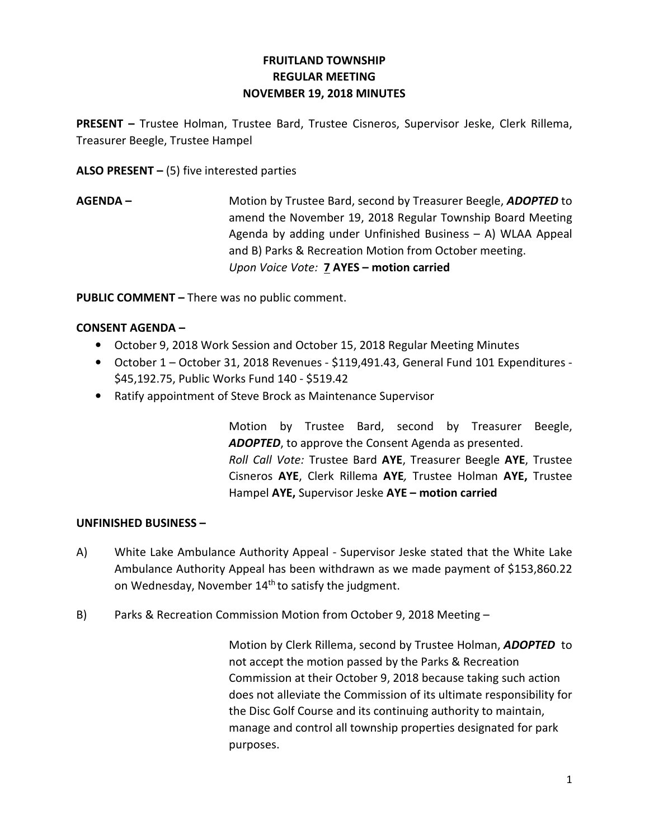## FRUITLAND TOWNSHIP REGULAR MEETING NOVEMBER 19, 2018 MINUTES

PRESENT – Trustee Holman, Trustee Bard, Trustee Cisneros, Supervisor Jeske, Clerk Rillema, Treasurer Beegle, Trustee Hampel

ALSO PRESENT  $-$  (5) five interested parties

AGENDA – Motion by Trustee Bard, second by Treasurer Beegle, ADOPTED to amend the November 19, 2018 Regular Township Board Meeting Agenda by adding under Unfinished Business – A) WLAA Appeal and B) Parks & Recreation Motion from October meeting. Upon Voice Vote: **7 AYES - motion carried** 

PUBLIC COMMENT – There was no public comment.

## CONSENT AGENDA –

- October 9, 2018 Work Session and October 15, 2018 Regular Meeting Minutes
- October 1 October 31, 2018 Revenues \$119,491.43, General Fund 101 Expenditures \$45,192.75, Public Works Fund 140 - \$519.42
- Ratify appointment of Steve Brock as Maintenance Supervisor

 Motion by Trustee Bard, second by Treasurer Beegle, ADOPTED, to approve the Consent Agenda as presented. Roll Call Vote: Trustee Bard AYE, Treasurer Beegle AYE, Trustee Cisneros AYE, Clerk Rillema AYE, Trustee Holman AYE, Trustee Hampel AYE, Supervisor Jeske AYE - motion carried

## UNFINISHED BUSINESS –

- A) White Lake Ambulance Authority Appeal Supervisor Jeske stated that the White Lake Ambulance Authority Appeal has been withdrawn as we made payment of \$153,860.22 on Wednesday, November 14<sup>th</sup> to satisfy the judgment.
- B) Parks & Recreation Commission Motion from October 9, 2018 Meeting –

 Motion by Clerk Rillema, second by Trustee Holman, ADOPTED to not accept the motion passed by the Parks & Recreation Commission at their October 9, 2018 because taking such action does not alleviate the Commission of its ultimate responsibility for the Disc Golf Course and its continuing authority to maintain, manage and control all township properties designated for park purposes.